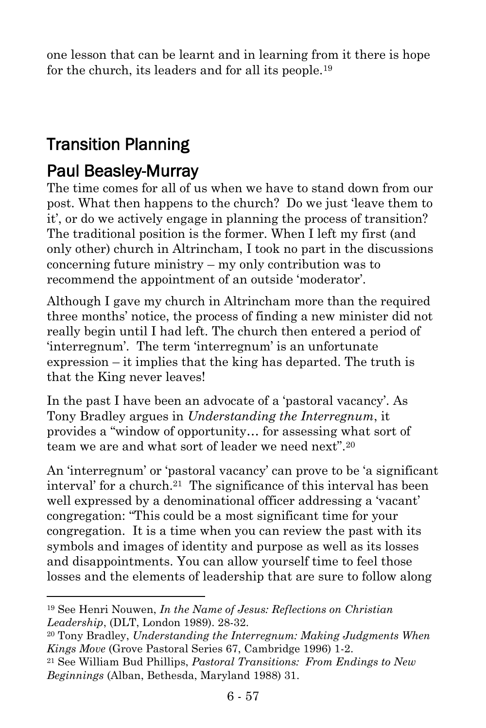one lesson that can be learnt and in learning from it there is hope for the church, its leaders and for all its people.<sup>19</sup>

## Transition Planning

## Paul Beasley-Murray

 $\overline{a}$ 

The time comes for all of us when we have to stand down from our post. What then happens to the church? Do we just 'leave them to it', or do we actively engage in planning the process of transition? The traditional position is the former. When I left my first (and only other) church in Altrincham, I took no part in the discussions concerning future ministry – my only contribution was to recommend the appointment of an outside 'moderator'.

Although I gave my church in Altrincham more than the required three months' notice, the process of finding a new minister did not really begin until I had left. The church then entered a period of 'interregnum'. The term 'interregnum' is an unfortunate expression – it implies that the king has departed. The truth is that the King never leaves!

In the past I have been an advocate of a 'pastoral vacancy'. As Tony Bradley argues in *Understanding the Interregnum*, it provides a "window of opportunity… for assessing what sort of team we are and what sort of leader we need next".  $20$ 

An 'interregnum' or 'pastoral vacancy' can prove to be 'a significant interval' for a church.21 The significance of this interval has been well expressed by a denominational officer addressing a 'vacant' congregation: "This could be a most significant time for your congregation. It is a time when you can review the past with its symbols and images of identity and purpose as well as its losses and disappointments. You can allow yourself time to feel those losses and the elements of leadership that are sure to follow along

<sup>19</sup> See Henri Nouwen, *In the Name of Jesus: Reflections on Christian Leadership*, (DLT, London 1989). 28-32.

<sup>20</sup> Tony Bradley, *Understanding the Interregnum: Making Judgments When Kings Move* (Grove Pastoral Series 67, Cambridge 1996) 1-2.

<sup>21</sup> See William Bud Phillips, *Pastoral Transitions: From Endings to New Beginnings* (Alban, Bethesda, Maryland 1988) 31.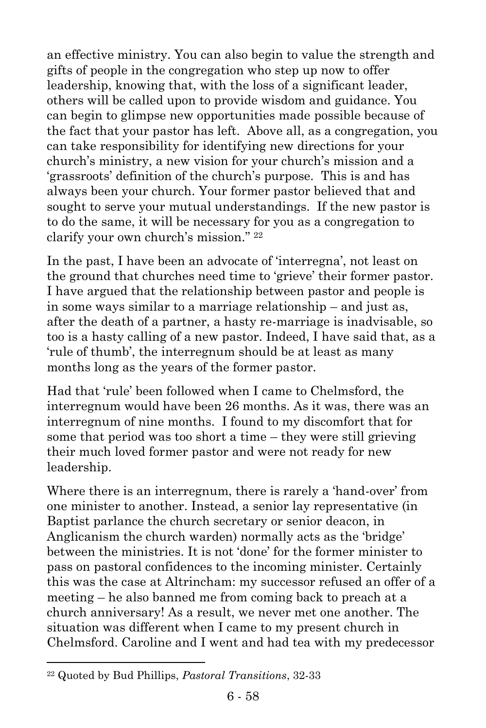an effective ministry. You can also begin to value the strength and gifts of people in the congregation who step up now to offer leadership, knowing that, with the loss of a significant leader, others will be called upon to provide wisdom and guidance. You can begin to glimpse new opportunities made possible because of the fact that your pastor has left. Above all, as a congregation, you can take responsibility for identifying new directions for your church's ministry, a new vision for your church's mission and a 'grassroots' definition of the church's purpose. This is and has always been your church. Your former pastor believed that and sought to serve your mutual understandings. If the new pastor is to do the same, it will be necessary for you as a congregation to clarify your own church's mission." 22

In the past, I have been an advocate of 'interregna', not least on the ground that churches need time to 'grieve' their former pastor. I have argued that the relationship between pastor and people is in some ways similar to a marriage relationship – and just as, after the death of a partner, a hasty re-marriage is inadvisable, so too is a hasty calling of a new pastor. Indeed, I have said that, as a 'rule of thumb', the interregnum should be at least as many months long as the years of the former pastor.

Had that 'rule' been followed when I came to Chelmsford, the interregnum would have been 26 months. As it was, there was an interregnum of nine months. I found to my discomfort that for some that period was too short a time – they were still grieving their much loved former pastor and were not ready for new leadership.

Where there is an interregnum, there is rarely a 'hand-over' from one minister to another. Instead, a senior lay representative (in Baptist parlance the church secretary or senior deacon, in Anglicanism the church warden) normally acts as the 'bridge' between the ministries. It is not 'done' for the former minister to pass on pastoral confidences to the incoming minister. Certainly this was the case at Altrincham: my successor refused an offer of a meeting – he also banned me from coming back to preach at a church anniversary! As a result, we never met one another. The situation was different when I came to my present church in Chelmsford. Caroline and I went and had tea with my predecessor

<sup>22</sup> Quoted by Bud Phillips, *Pastoral Transitions*, 32-33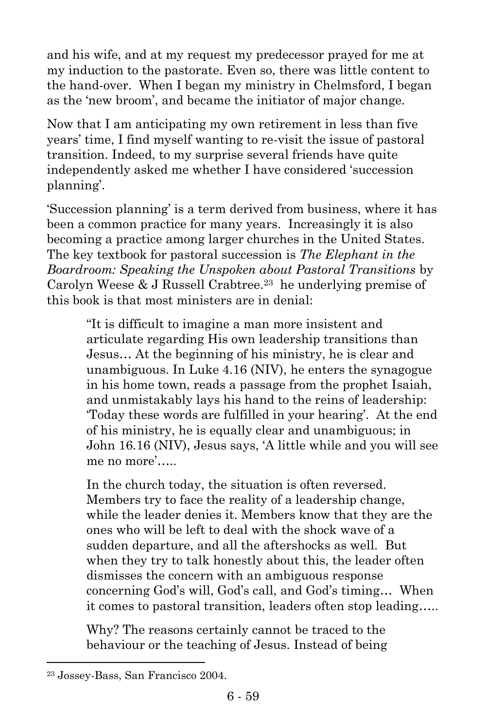and his wife, and at my request my predecessor prayed for me at my induction to the pastorate. Even so, there was little content to the hand-over. When I began my ministry in Chelmsford, I began as the 'new broom', and became the initiator of major change.

Now that I am anticipating my own retirement in less than five years' time, I find myself wanting to re-visit the issue of pastoral transition. Indeed, to my surprise several friends have quite independently asked me whether I have considered 'succession planning'.

'Succession planning' is a term derived from business, where it has been a common practice for many years. Increasingly it is also becoming a practice among larger churches in the United States. The key textbook for pastoral succession is *The Elephant in the Boardroom: Speaking the Unspoken about Pastoral Transitions* by Carolyn Weese & J Russell Crabtree.<sup>23</sup> he underlying premise of this book is that most ministers are in denial:

> "It is difficult to imagine a man more insistent and articulate regarding His own leadership transitions than Jesus… At the beginning of his ministry, he is clear and unambiguous. In Luke 4.16 (NIV), he enters the synagogue in his home town, reads a passage from the prophet Isaiah, and unmistakably lays his hand to the reins of leadership: 'Today these words are fulfilled in your hearing'. At the end of his ministry, he is equally clear and unambiguous; in John 16.16 (NIV), Jesus says, 'A little while and you will see me no more'

> In the church today, the situation is often reversed. Members try to face the reality of a leadership change, while the leader denies it. Members know that they are the ones who will be left to deal with the shock wave of a sudden departure, and all the aftershocks as well. But when they try to talk honestly about this, the leader often dismisses the concern with an ambiguous response concerning God's will, God's call, and God's timing… When it comes to pastoral transition, leaders often stop leading…..

Why? The reasons certainly cannot be traced to the behaviour or the teaching of Jesus. Instead of being

<sup>23</sup> Jossey-Bass, San Francisco 2004.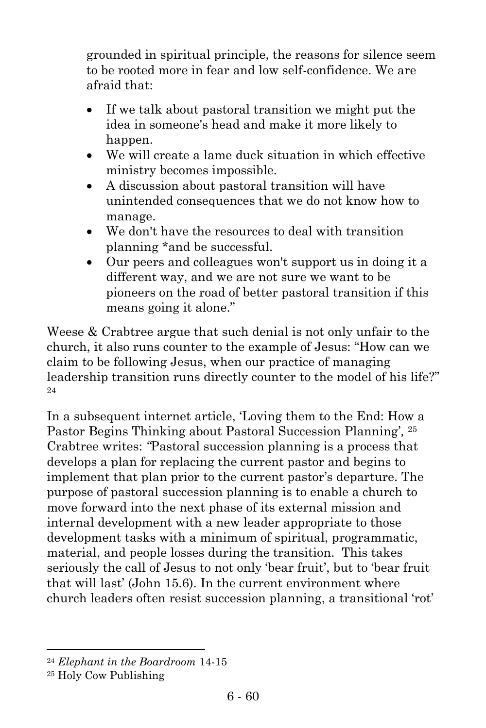grounded in spiritual principle, the reasons for silence seem to be rooted more in fear and low self-confidence. We are afraid that:

- If we talk about pastoral transition we might put the idea in someone's head and make it more likely to happen.
- We will create a lame duck situation in which effective ministry becomes impossible.
- A discussion about pastoral transition will have unintended consequences that we do not know how to manage.
- We don't have the resources to deal with transition planning \*and be successful.
- Our peers and colleagues won't support us in doing it a different way, and we are not sure we want to be pioneers on the road of better pastoral transition if this means going it alone."

Weese & Crabtree argue that such denial is not only unfair to the church, it also runs counter to the example of Jesus: "How can we claim to be following Jesus, when our practice of managing leadership transition runs directly counter to the model of his life?" 24

In a subsequent internet article, 'Loving them to the End: How a Pastor Begins Thinking about Pastoral Succession Planning'*,* 25 Crabtree writes: *"*Pastoral succession planning is a process that develops a plan for replacing the current pastor and begins to implement that plan prior to the current pastor's departure. The purpose of pastoral succession planning is to enable a church to move forward into the next phase of its external mission and internal development with a new leader appropriate to those development tasks with a minimum of spiritual, programmatic, material, and people losses during the transition. This takes seriously the call of Jesus to not only 'bear fruit', but to 'bear fruit that will last' (John 15.6). In the current environment where church leaders often resist succession planning, a transitional 'rot'

<sup>24</sup> *Elephant in the Boardroom* 14-15

<sup>25</sup> Holy Cow Publishing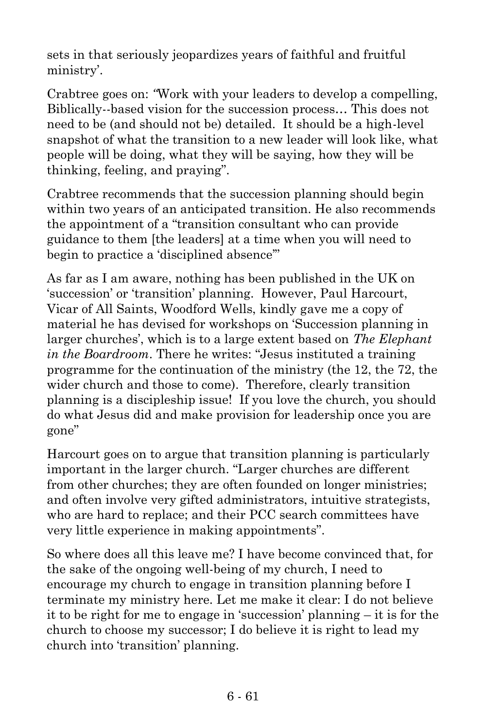sets in that seriously jeopardizes years of faithful and fruitful ministry'.

Crabtree goes on: *"*Work with your leaders to develop a compelling, Biblically--based vision for the succession process… This does not need to be (and should not be) detailed. It should be a high-level snapshot of what the transition to a new leader will look like, what people will be doing, what they will be saying, how they will be thinking, feeling, and praying".

Crabtree recommends that the succession planning should begin within two years of an anticipated transition. He also recommends the appointment of a "transition consultant who can provide guidance to them [the leaders] at a time when you will need to begin to practice a 'disciplined absence'"

As far as I am aware, nothing has been published in the UK on 'succession' or 'transition' planning. However, Paul Harcourt, Vicar of All Saints, Woodford Wells, kindly gave me a copy of material he has devised for workshops on 'Succession planning in larger churches', which is to a large extent based on *The Elephant in the Boardroom*. There he writes: "Jesus instituted a training programme for the continuation of the ministry (the 12, the 72, the wider church and those to come). Therefore, clearly transition planning is a discipleship issue! If you love the church, you should do what Jesus did and make provision for leadership once you are gone"

Harcourt goes on to argue that transition planning is particularly important in the larger church. "Larger churches are different from other churches; they are often founded on longer ministries; and often involve very gifted administrators, intuitive strategists, who are hard to replace; and their PCC search committees have very little experience in making appointments".

So where does all this leave me? I have become convinced that, for the sake of the ongoing well-being of my church, I need to encourage my church to engage in transition planning before I terminate my ministry here. Let me make it clear: I do not believe it to be right for me to engage in 'succession' planning – it is for the church to choose my successor; I do believe it is right to lead my church into 'transition' planning.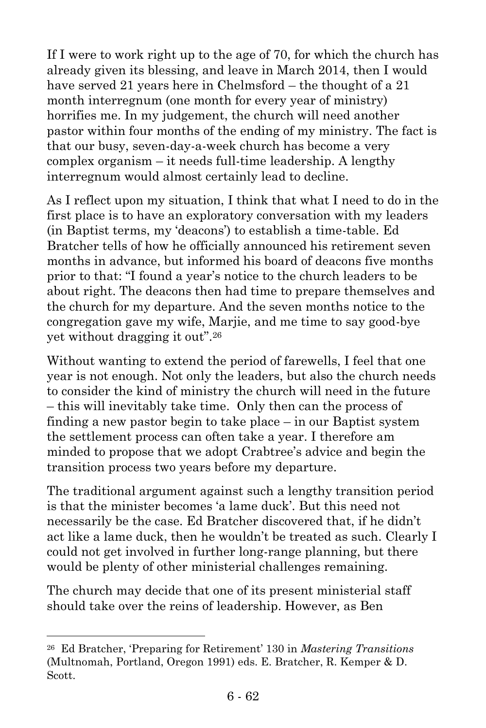If I were to work right up to the age of 70, for which the church has already given its blessing, and leave in March 2014, then I would have served 21 years here in Chelmsford – the thought of a 21 month interregnum (one month for every year of ministry) horrifies me. In my judgement, the church will need another pastor within four months of the ending of my ministry. The fact is that our busy, seven-day-a-week church has become a very complex organism – it needs full-time leadership. A lengthy interregnum would almost certainly lead to decline.

As I reflect upon my situation, I think that what I need to do in the first place is to have an exploratory conversation with my leaders (in Baptist terms, my 'deacons') to establish a time-table. Ed Bratcher tells of how he officially announced his retirement seven months in advance, but informed his board of deacons five months prior to that: "I found a year's notice to the church leaders to be about right. The deacons then had time to prepare themselves and the church for my departure. And the seven months notice to the congregation gave my wife, Marjie, and me time to say good-bye yet without dragging it out".<sup>26</sup>

Without wanting to extend the period of farewells, I feel that one year is not enough. Not only the leaders, but also the church needs to consider the kind of ministry the church will need in the future – this will inevitably take time. Only then can the process of finding a new pastor begin to take place – in our Baptist system the settlement process can often take a year. I therefore am minded to propose that we adopt Crabtree's advice and begin the transition process two years before my departure.

The traditional argument against such a lengthy transition period is that the minister becomes 'a lame duck'. But this need not necessarily be the case. Ed Bratcher discovered that, if he didn't act like a lame duck, then he wouldn't be treated as such. Clearly I could not get involved in further long-range planning, but there would be plenty of other ministerial challenges remaining.

The church may decide that one of its present ministerial staff should take over the reins of leadership. However, as Ben

<sup>26</sup> Ed Bratcher, 'Preparing for Retirement' 130 in *Mastering Transitions* (Multnomah, Portland, Oregon 1991) eds. E. Bratcher, R. Kemper & D. Scott.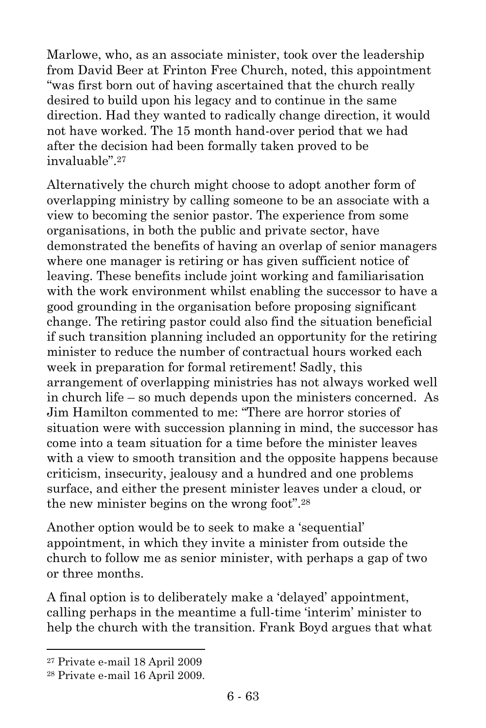Marlowe, who, as an associate minister, took over the leadership from David Beer at Frinton Free Church, noted, this appointment "was first born out of having ascertained that the church really desired to build upon his legacy and to continue in the same direction. Had they wanted to radically change direction, it would not have worked. The 15 month hand-over period that we had after the decision had been formally taken proved to be invaluable".<sup>27</sup>

Alternatively the church might choose to adopt another form of overlapping ministry by calling someone to be an associate with a view to becoming the senior pastor. The experience from some organisations, in both the public and private sector, have demonstrated the benefits of having an overlap of senior managers where one manager is retiring or has given sufficient notice of leaving. These benefits include joint working and familiarisation with the work environment whilst enabling the successor to have a good grounding in the organisation before proposing significant change. The retiring pastor could also find the situation beneficial if such transition planning included an opportunity for the retiring minister to reduce the number of contractual hours worked each week in preparation for formal retirement! Sadly, this arrangement of overlapping ministries has not always worked well in church life – so much depends upon the ministers concerned. As Jim Hamilton commented to me: "There are horror stories of situation were with succession planning in mind, the successor has come into a team situation for a time before the minister leaves with a view to smooth transition and the opposite happens because criticism, insecurity, jealousy and a hundred and one problems surface, and either the present minister leaves under a cloud, or the new minister begins on the wrong foot".<sup>28</sup>

Another option would be to seek to make a 'sequential' appointment, in which they invite a minister from outside the church to follow me as senior minister, with perhaps a gap of two or three months.

A final option is to deliberately make a 'delayed' appointment, calling perhaps in the meantime a full-time 'interim' minister to help the church with the transition. Frank Boyd argues that what

<sup>27</sup> Private e-mail 18 April 2009

<sup>28</sup> Private e-mail 16 April 2009.